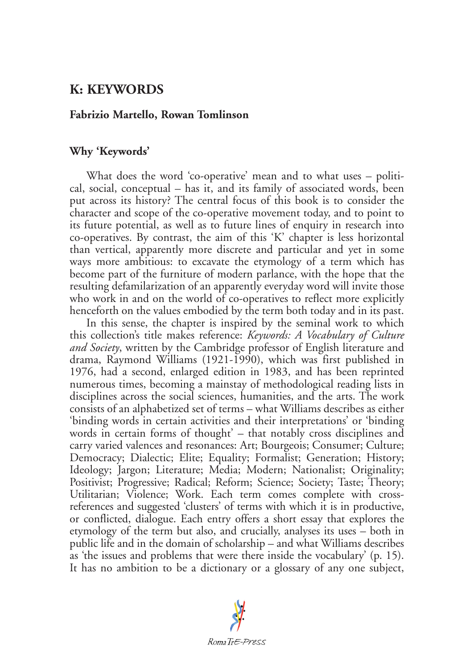# **K: KEYWORDS**

## **Fabrizio Martello, Rowan Tomlinson**

## **Why 'Keywords'**

What does the word 'co-operative' mean and to what uses – political, social, conceptual – has it, and its family of associated words, been put across its history? The central focus of this book is to consider the character and scope of the co-operative movement today, and to point to its future potential, as well as to future lines of enquiry in research into co-operatives. By contrast, the aim of this 'K' chapter is less horizontal than vertical, apparently more discrete and particular and yet in some ways more ambitious: to excavate the etymology of a term which has become part of the furniture of modern parlance, with the hope that the resulting defamilarization of an apparently everyday word will invite those who work in and on the world of co-operatives to reflect more explicitly henceforth on the values embodied by the term both today and in its past.

In this sense, the chapter is inspired by the seminal work to which this collection's title makes reference: *Keywords: A Vocabulary of Culture and Society*, written by the Cambridge professor of English literature and drama, Raymond Williams (1921-1990), which was first published in 1976, had a second, enlarged edition in 1983, and has been reprinted numerous times, becoming a mainstay of methodological reading lists in disciplines across the social sciences, humanities, and the arts. The work consists of an alphabetized set of terms – what Williams describes as either 'binding words in certain activities and their interpretations' or 'binding words in certain forms of thought' – that notably cross disciplines and carry varied valences and resonances: Art; Bourgeois; Consumer; Culture; Democracy; Dialectic; Elite; Equality; Formalist; Generation; History; Ideology; Jargon; Literature; Media; Modern; Nationalist; Originality; Positivist; Progressive; Radical; Reform; Science; Society; Taste; Theory; Utilitarian; Violence; Work. Each term comes complete with crossreferences and suggested 'clusters' of terms with which it is in productive, or conflicted, dialogue. Each entry offers a short essay that explores the etymology of the term but also, and crucially, analyses its uses – both in public life and in the domain of scholarship – and what Williams describes as 'the issues and problems that were there inside the vocabulary' (p. 15). It has no ambition to be a dictionary or a glossary of any one subject,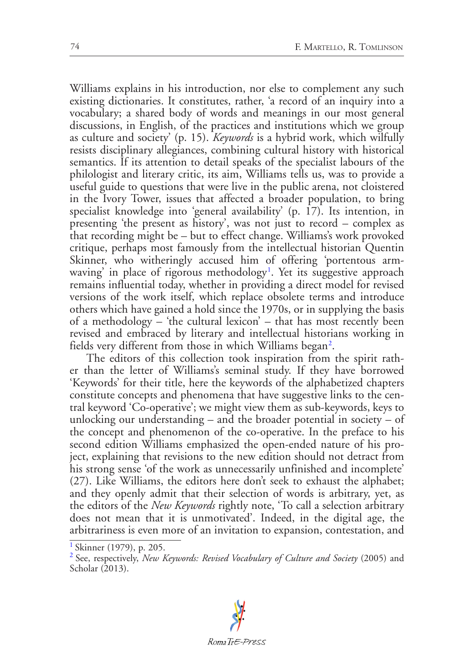Williams explains in his introduction, nor else to complement any such existing dictionaries. It constitutes, rather, 'a record of an inquiry into a vocabulary; a shared body of words and meanings in our most general discussions, in English, of the practices and institutions which we group as culture and society' (p. 15). *Keywords* is a hybrid work, which wilfully resists disciplinary allegiances, combining cultural history with historical semantics. If its attention to detail speaks of the specialist labours of the philologist and literary critic, its aim, Williams tells us, was to provide a useful guide to questions that were live in the public arena, not cloistered in the Ivory Tower, issues that affected a broader population, to bring specialist knowledge into 'general availability' (p.  $17$ ). Its intention, in presenting 'the present as history', was not just to record – complex as that recording might be – but to effect change. Williams's work provoked critique, perhaps most famously from the intellectual historian Quentin Skinner, who witheringly accused him of offering 'portentous arm-waving' in place of rigorous methodology<sup>[1](#page-1-0)</sup>. Yet its suggestive approach remains influential today, whether in providing a direct model for revised versions of the work itself, which replace obsolete terms and introduce others which have gained a hold since the 1970s, or in supplying the basis of a methodology – 'the cultural lexicon' – that has most recently been revised and embraced by literary and intellectual historians working in fields very different from those in which Williams began $^2\!$  $^2\!$  $^2\!$ .

<span id="page-1-3"></span><span id="page-1-2"></span>The editors of this collection took inspiration from the spirit rather than the letter of Williams's seminal study. If they have borrowed 'Keywords' for their title, here the keywords of the alphabetized chapters constitute concepts and phenomena that have suggestive links to the central keyword 'Co-operative'; we might view them as sub-keywords, keys to unlocking our understanding – and the broader potential in society – of the concept and phenomenon of the co-operative. In the preface to his second edition Williams emphasized the open-ended nature of his project, explaining that revisions to the new edition should not detract from his strong sense 'of the work as unnecessarily unfinished and incomplete' (27). Like Williams, the editors here don't seek to exhaust the alphabet; and they openly admit that their selection of words is arbitrary, yet, as the editors of the *New Keywords* rightly note, 'To call a selection arbitrary does not mean that it is unmotivated'. Indeed, in the digital age, the arbitrariness is even more of an invitation to expansion, contestation, and

<span id="page-1-1"></span>[<sup>2</sup>](#page-1-3) See, respectively, *New Keywords: Revised Vocabulary of Culture and Society* (2005) and Scholar (2013).



<span id="page-1-0"></span><sup>&</sup>lt;sup>[1](#page-1-2)</sup> Skinner (1979), p. 205.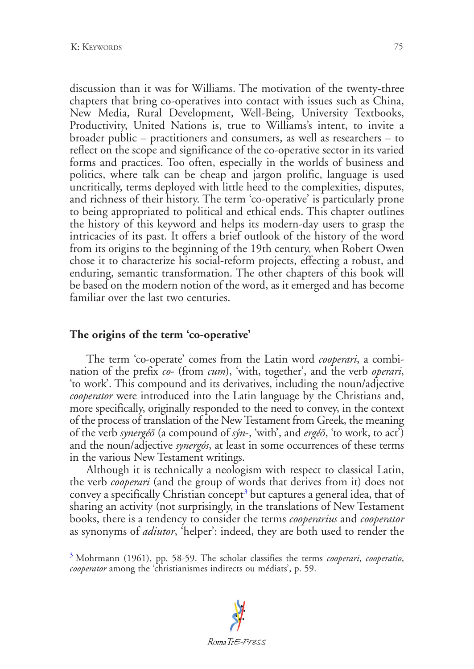discussion than it was for Williams. The motivation of the twenty-three chapters that bring co-operatives into contact with issues such as China, New Media, Rural Development, Well-Being, University Textbooks, Productivity, United Nations is, true to Williams's intent, to invite a broader public – practitioners and consumers, as well as researchers – to reflect on the scope and significance of the co-operative sector in its varied forms and practices. Too often, especially in the worlds of business and politics, where talk can be cheap and jargon prolific, language is used uncritically, terms deployed with little heed to the complexities, disputes, and richness of their history. The term 'co-operative' is particularly prone to being appropriated to political and ethical ends. This chapter outlines the history of this keyword and helps its modern-day users to grasp the intricacies of its past. It offers a brief outlook of the history of the word from its origins to the beginning of the 19th century, when Robert Owen chose it to characterize his social-reform projects, effecting a robust, and enduring, semantic transformation. The other chapters of this book will be based on the modern notion of the word, as it emerged and has become familiar over the last two centuries.

## **The origins of the term 'co-operative'**

The term 'co-operate' comes from the Latin word *cooperari*, a combination of the prefix *co*- (from *cum*), 'with, together', and the verb *operari*, 'to work'. This compound and its derivatives, including the noun/adjective *cooperator* were introduced into the Latin language by the Christians and, more specifically, originally responded to the need to convey, in the context of the process of translation of the New Testament from Greek, the meaning of the verb *synergéō* (a compound of *sýn*-, 'with', and *ergéō*, 'to work, to act') and the noun/adjective *synergós*, at least in some occurrences of these terms in the various New Testament writings.

<span id="page-2-1"></span>Although it is technically a neologism with respect to classical Latin, the verb *cooperari* (and the group of words that derives from it) does not convey a specifically Christian concept<sup>[3](#page-2-0)</sup> but captures a general idea, that of sharing an activity (not surprisingly, in the translations of New Testament books, there is a tendency to consider the terms *cooperarius* and *cooperator* as synonyms of *adiutor*, 'helper': indeed, they are both used to render the

<span id="page-2-0"></span>[<sup>3</sup>](#page-2-1) Mohrmann (1961), pp. 58-59. The scholar classifies the terms *cooperari*, *cooperatio*, *cooperator* among the 'christianismes indirects ou médiats', p. 59.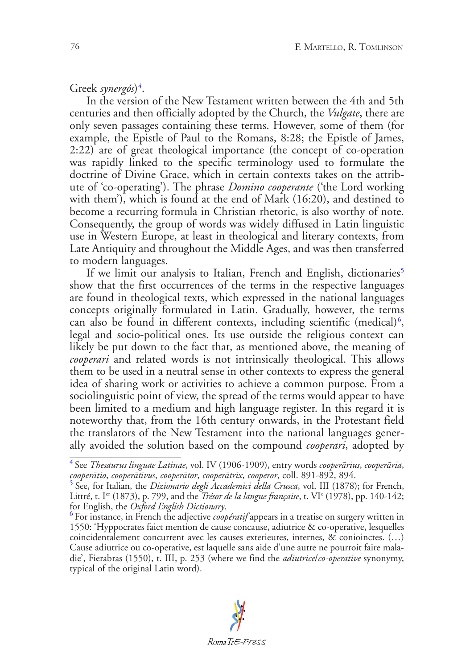<span id="page-3-3"></span>Greek *synergós*)[4](#page-3-0) .

In the version of the New Testament written between the 4th and 5th centuries and then officially adopted by the Church, the *Vulgate*, there are only seven passages containing these terms. However, some of them (for example, the Epistle of Paul to the Romans, 8:28; the Epistle of James, 2:22) are of great theological importance (the concept of co-operation was rapidly linked to the specific terminology used to formulate the doctrine of Divine Grace, which in certain contexts takes on the attribute of 'co-operating'). The phrase *Domino cooperante* ('the Lord working with them'), which is found at the end of Mark (16:20), and destined to become a recurring formula in Christian rhetoric, is also worthy of note. Consequently, the group of words was widely diffused in Latin linguistic use in Western Europe, at least in theological and literary contexts, from Late Antiquity and throughout the Middle Ages, and was then transferred to modern languages.

<span id="page-3-5"></span><span id="page-3-4"></span>If we limit our analysis to Italian, French and English, dictionaries<sup>[5](#page-3-1)</sup> show that the first occurrences of the terms in the respective languages are found in theological texts, which expressed in the national languages concepts originally formulated in Latin. Gradually, however, the terms can also be found in different contexts, including scientific (medical)<sup>[6](#page-3-2)</sup>, legal and socio-political ones. Its use outside the religious context can likely be put down to the fact that, as mentioned above, the meaning of *cooperari* and related words is not intrinsically theological. This allows them to be used in a neutral sense in other contexts to express the general idea of sharing work or activities to achieve a common purpose. From a sociolinguistic point of view, the spread of the terms would appear to have been limited to a medium and high language register. In this regard it is noteworthy that, from the 16th century onwards, in the Protestant field the translators of the New Testament into the national languages generally avoided the solution based on the compound *cooperari*, adopted by

<span id="page-3-0"></span>[<sup>4</sup>](#page-3-3) See *Thesaurus linguae Latinae*, vol. IV (1906-1909), entry words *cooperārius*, *cooperāria*, *cooperātio*, *cooperātīvus*, *cooperātor*, *cooperātrix*, *cooperor*, coll. 891-892, 894.

<span id="page-3-1"></span>[<sup>5</sup>](#page-3-4) See, for Italian, the *Dizionario degli Accademici della Crusca*, vol. III (1878); for French, Littré, t. Ier (1873), p. 799, and the *Trésor de la langue française*, t. VIe (1978), pp. 140-142; for English, the *Oxford English Dictionary*. [6](#page-3-5) For instance, in French the adjective *coopératif* appears in a treatise on surgery written in

<span id="page-3-2"></span><sup>1550:</sup> 'Hyppocrates faict mention de cause concause, adiutrice & co-operative, lesquelles coincidentalement concurrent avec les causes exterieures, internes, & conioinctes. (…) Cause adiutrice ou co-operative, est laquelle sans aide d'une autre ne pourroit faire maladie', Fierabras (1550), t. III, p. 253 (where we find the *adiutrice*/*co-operative* synonymy, typical of the original Latin word).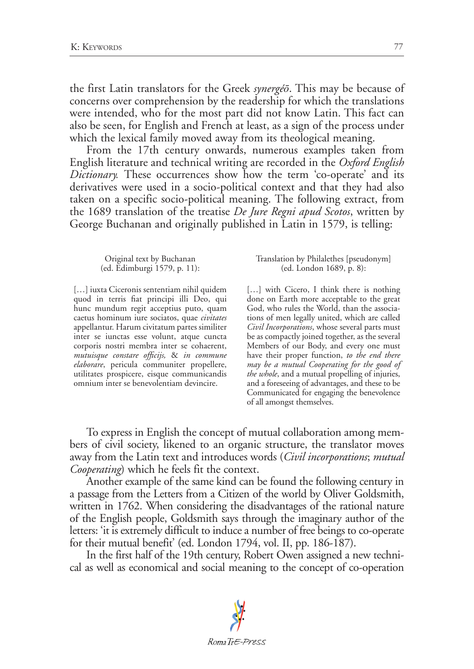the first Latin translators for the Greek *synergéō*. This may be because of concerns over comprehension by the readership for which the translations were intended, who for the most part did not know Latin. This fact can also be seen, for English and French at least, as a sign of the process under which the lexical family moved away from its theological meaning.

From the 17th century onwards, numerous examples taken from English literature and technical writing are recorded in the *Oxford English Dictionary.* These occurrences show how the term 'co-operate' and its derivatives were used in a socio-political context and that they had also taken on a specific socio-political meaning. The following extract, from the 1689 translation of the treatise *De Jure Regni apud Scotos*, written by George Buchanan and originally published in Latin in 1579, is telling:

Original text by Buchanan (ed. Edimburgi 1579, p. 11):

[...] iuxta Ciceronis sententiam nihil quidem quod in terris fiat principi illi Deo, qui hunc mundum regit acceptius puto, quam caetus hominum iure sociatos, quae *civitates* appellantur. Harum civitatum partes similiter inter se iunctas esse volunt, atque cuncta corporis nostri membra inter se cohaerent, *mutuisque constare officijs,* & *in commune elaborare*, pericula communiter propellere, utilitates prospicere, eisque communicandis omnium inter se benevolentiam devincire.

Translation by Philalethes [pseudonym] (ed. London 1689, p. 8):

[...] with Cicero, I think there is nothing done on Earth more acceptable to the great God, who rules the World, than the associations of men legally united, which are called *Civil Incorporations*, whose several parts must be as compactly joined together, as the several Members of our Body, and every one must have their proper function, *to the end there may be a mutual Cooperating for the good of the whole*, and a mutual propelling of injuries, and a foreseeing of advantages, and these to be Communicated for engaging the benevolence of all amongst themselves.

To express in English the concept of mutual collaboration among members of civil society, likened to an organic structure, the translator moves away from the Latin text and introduces words (*Civil incorporations*; *mutual Cooperating*) which he feels fit the context.

Another example of the same kind can be found the following century in a passage from the Letters from a Citizen of the world by Oliver Goldsmith, written in 1762. When considering the disadvantages of the rational nature of the English people, Goldsmith says through the imaginary author of the letters: 'it is extremely difficult to induce a number of free beings to co-operate for their mutual benefit' (ed. London 1794, vol. II, pp. 186-187).

In the first half of the 19th century, Robert Owen assigned a new technical as well as economical and social meaning to the concept of co-operation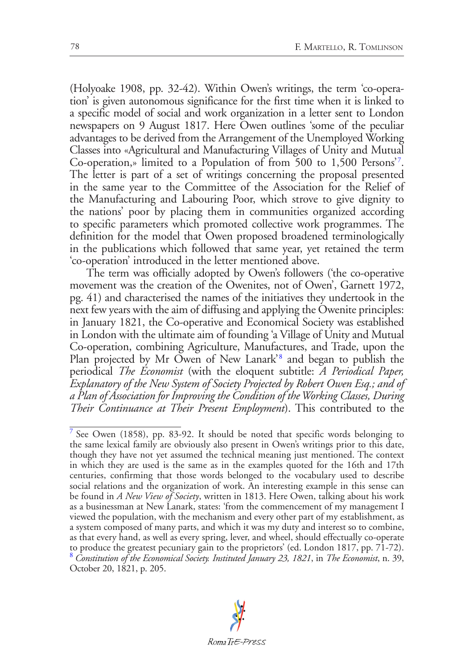<span id="page-5-2"></span>(Holyoake 1908, pp. 32-42). Within Owen's writings, the term 'co-operation' is given autonomous significance for the first time when it is linked to a specific model of social and work organization in a letter sent to London newspapers on 9 August 1817. Here Owen outlines 'some of the peculiar advantages to be derived from the Arrangement of the Unemployed Working Classes into «Agricultural and Manufacturing Villages of Unity and Mutual Co-operation,» limited to a Population of from 500 to 1,500 Persons'[7](#page-5-0) . The letter is part of a set of writings concerning the proposal presented in the same year to the Committee of the Association for the Relief of the Manufacturing and Labouring Poor, which strove to give dignity to the nations' poor by placing them in communities organized according to specific parameters which promoted collective work programmes. The definition for the model that Owen proposed broadened terminologically in the publications which followed that same year, yet retained the term 'co-operation' introduced in the letter mentioned above.

The term was officially adopted by Owen's followers ('the co-operative movement was the creation of the Owenites, not of Owen', Garnett 1972, pg. 41) and characterised the names of the initiatives they undertook in the next few years with the aim of diffusing and applying the Owenite principles: in January 1821, the Co-operative and Economical Society was established in London with the ultimate aim of founding 'a Village of Unity and Mutual Co-operation, combining Agriculture, Manufactures, and Trade, upon the Plan projected by Mr Owen of New Lanark'<sup>[8](#page-5-1)</sup> and began to publish the periodical *The Economist* (with the eloquent subtitle: *A Periodical Paper, Explanatory of the New System of Society Projected by Robert Owen Esq.; and of a Plan of Association for Improving the Condition of the Working Classes, During Their Continuance at Their Present Employment*). This contributed to the

<span id="page-5-3"></span><span id="page-5-1"></span><span id="page-5-0"></span><sup>&</sup>lt;sup>[7](#page-5-2)</sup> See Owen (1858), pp. 83-92. It should be noted that specific words belonging to the same lexical family are obviously also present in Owen's writings prior to this date, though they have not yet assumed the technical meaning just mentioned. The context in which they are used is the same as in the examples quoted for the 16th and 17th centuries, confirming that those words belonged to the vocabulary used to describe social relations and the organization of work. An interesting example in this sense can be found in *A New View of Society*, written in 1813. Here Owen, talking about his work as a businessman at New Lanark, states: 'from the commencement of my management I viewed the population, with the mechanism and every other part of my establishment, as a system composed of many parts, and which it was my duty and interest so to combine, as that every hand, as well as every spring, lever, and wheel, should effectually co-operate to produce the greatest pecuniary gain to the proprietors' (ed. London 1817, pp. 71-72). [8](#page-5-3) *Constitution of the Economical Society. Instituted January 23, 1821*, in *The Economist*, n. 39, October 20, 1821, p. 205.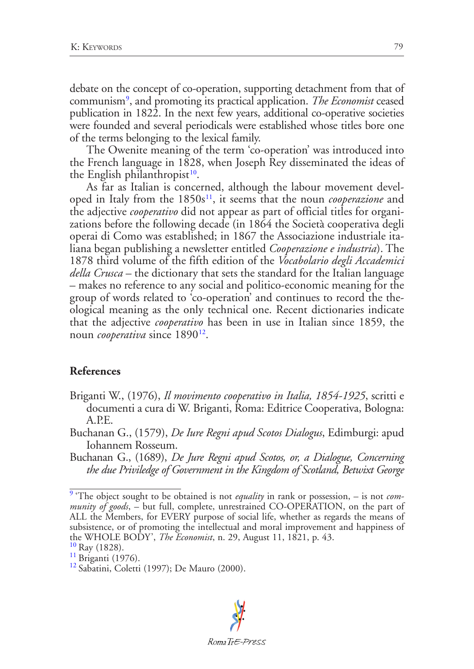<span id="page-6-4"></span>debate on the concept of co-operation, supporting detachment from that of communism[9](#page-6-0) , and promoting its practical application. *The Economist* ceased publication in 1822. In the next few years, additional co-operative societies were founded and several periodicals were established whose titles bore one of the terms belonging to the lexical family.

The Owenite meaning of the term 'co-operation' was introduced into the French language in 1828, when Joseph Rey disseminated the ideas of the English philanthropist $10$ .

<span id="page-6-6"></span><span id="page-6-5"></span>As far as Italian is concerned, although the labour movement devel-oped in Italy from the 1850s<sup>[11](#page-6-2)</sup>, it seems that the noun *cooperazione* and the adjective *cooperativo* did not appear as part of official titles for organizations before the following decade (in 1864 the Società cooperativa degli operai di Como was established; in 1867 the Associazione industriale italiana began publishing a newsletter entitled *Cooperazione e industria*). The 1878 third volume of the fifth edition of the *Vocabolario degli Accademici della Crusca* – the dictionary that sets the standard for the Italian language – makes no reference to any social and politico-economic meaning for the group of words related to 'co-operation' and continues to record the theological meaning as the only technical one. Recent dictionaries indicate that the adjective *cooperativo* has been in use in Italian since 1859, the noun *cooperativa* since 1890<sup>[12](#page-6-3)</sup>.

#### <span id="page-6-7"></span>**References**

- Briganti W., (1976), *Il movimento cooperativo in Italia, 1854-1925*, scritti e documenti a cura di W. Briganti, Roma: Editrice Cooperativa, Bologna: A.P.E.
- Buchanan G., (1579), *De Iure Regni apud Scotos Dialogus*, Edimburgi: apud Iohannem Rosseum.
- Buchanan G., (1689), *De Jure Regni apud Scotos, or, a Dialogue, Concerning the due Priviledge of Government in the Kingdom of Scotland, Betwixt George*

<span id="page-6-0"></span>[<sup>9</sup>](#page-6-4) 'The object sought to be obtained is not *equality* in rank or possession, – is not *community of goods*, – but full, complete, unrestrained CO-OPERATION, on the part of ALL the Members, for EVERY purpose of social life, whether as regards the means of subsistence, or of promoting the intellectual and moral improvement and happiness of the WHOLE BODY', *The Economist*, n. 29, August 11, 1821, p. 43.<br><sup>[10](#page-6-5)</sup> Ray (1828).<br><sup>[11](#page-6-6)</sup> Briganti (1976).<br><sup>[12](#page-6-7)</sup> Sabatini, Coletti (1997); De Mauro (2000).

<span id="page-6-2"></span><span id="page-6-1"></span>

<span id="page-6-3"></span>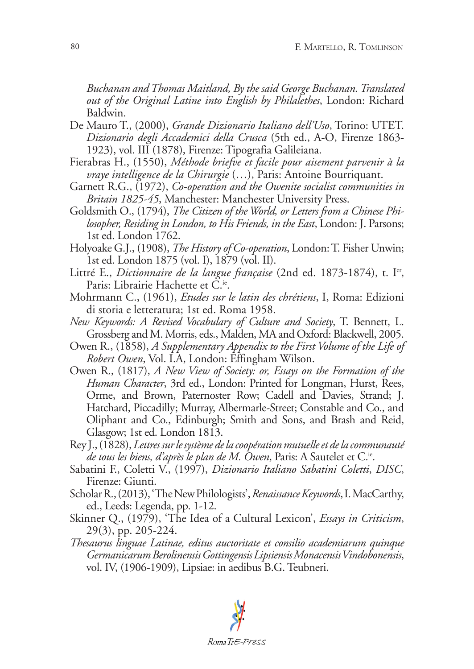*Buchanan and Thomas Maitland, By the said George Buchanan. Translated out of the Original Latine into English by Philalethes*, London: Richard Baldwin.

- De Mauro T., (2000), *Grande Dizionario Italiano dell'Uso*, Torino: UTET. *Dizionario degli Accademici della Crusca* (5th ed., A-O, Firenze 1863- 1923), vol. III (1878), Firenze: Tipografia Galileiana.
- Fierabras H., (1550), *Méthode briefve et facile pour aisement parvenir à la vraye intelligence de la Chirurgie* (…), Paris: Antoine Bourriquant.
- Garnett R.G., (1972), *Co-operation and the Owenite socialist communities in Britain 1825-45*, Manchester: Manchester University Press.
- Goldsmith O., (1794), *The Citizen of the World, or Letters from a Chinese Philosopher, Residing in London, to His Friends, in the East*, London: J. Parsons; 1st ed. London 1762.
- Holyoake G.J., (1908), *The History of Co-operation*, London: T. Fisher Unwin; 1st ed. London 1875 (vol. I), 1879 (vol. II).
- Littré E., *Dictionnaire de la langue française* (2nd ed. 1873-1874), t. Ier, Paris: Librairie Hachette et C.<sup>ie</sup>.
- Mohrmann C., (1961), *Etudes sur le latin des chrétiens*, I, Roma: Edizioni di storia e letteratura; 1st ed. Roma 1958.
- *New Keywords: A Revised Vocabulary of Culture and Society*, T. Bennett, L. Grossberg and M. Morris, eds., Malden, MA and Oxford: Blackwell, 2005.
- Owen R., (1858), *A Supplementary Appendix to the First Volume of the Life of Robert Owen*, Vol. I.A, London: Effingham Wilson.
- Owen R., (1817), *A New View of Society: or, Essays on the Formation of the Human Character*, 3rd ed., London: Printed for Longman, Hurst, Rees, Orme, and Brown, Paternoster Row; Cadell and Davies, Strand; J. Hatchard, Piccadilly; Murray, Albermarle-Street; Constable and Co., and Oliphant and Co., Edinburgh; Smith and Sons, and Brash and Reid, Glasgow; 1st ed. London 1813.
- Rey J., (1828), *Lettres sur le système de la coopération mutuelle et de la communauté de tous les biens, d'après le plan de M. Owen*, Paris: A Sautelet et C.ie.
- Sabatini F., Coletti V., (1997), *Dizionario Italiano Sabatini Coletti*, *DISC*, Firenze: Giunti.
- Scholar R., (2013), 'The New Philologists', *Renaissance Keywords*, I. MacCarthy, ed., Leeds: Legenda, pp. 1-12.
- Skinner Q., (1979), 'The Idea of a Cultural Lexicon', *Essays in Criticism*, 29(3), pp. 205-224.
- *Thesaurus linguae Latinae, editus auctoritate et consilio academiarum quinque Germanicarum Berolinensis Gottingensis Lipsiensis Monacensis Vindobonensis*, vol. IV, (1906-1909), Lipsiae: in aedibus B.G. Teubneri.